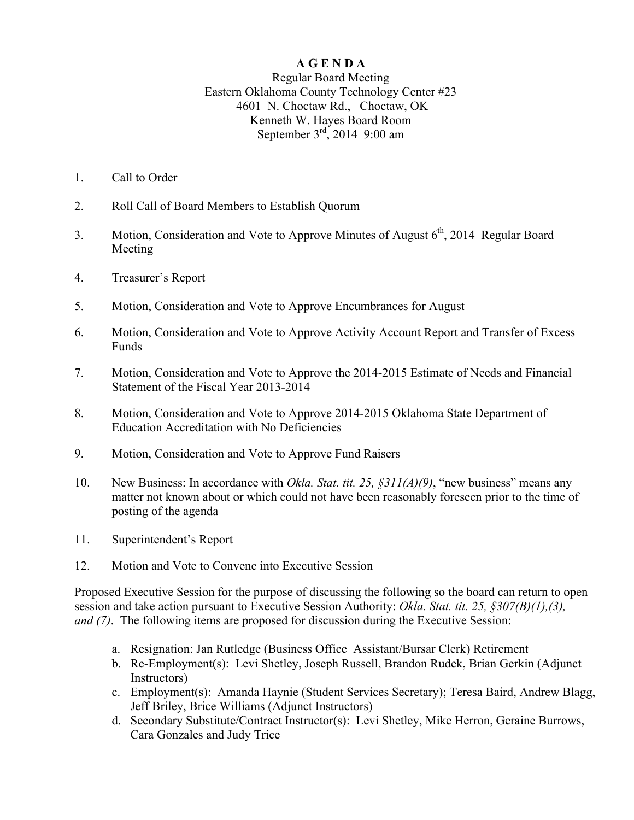## **A G E N D A**

## Regular Board Meeting Eastern Oklahoma County Technology Center #23 4601 N. Choctaw Rd., Choctaw, OK Kenneth W. Hayes Board Room September  $3<sup>rd</sup>$ , 2014 9:00 am

- 1. Call to Order
- 2. Roll Call of Board Members to Establish Quorum
- 3. Motion, Consideration and Vote to Approve Minutes of August  $6<sup>th</sup>$ , 2014 Regular Board Meeting
- 4. Treasurer's Report
- 5. Motion, Consideration and Vote to Approve Encumbrances for August
- 6. Motion, Consideration and Vote to Approve Activity Account Report and Transfer of Excess Funds
- 7. Motion, Consideration and Vote to Approve the 2014-2015 Estimate of Needs and Financial Statement of the Fiscal Year 2013-2014
- 8. Motion, Consideration and Vote to Approve 2014-2015 Oklahoma State Department of Education Accreditation with No Deficiencies
- 9. Motion, Consideration and Vote to Approve Fund Raisers
- 10. New Business: In accordance with *Okla. Stat. tit. 25, §311(A)(9)*, "new business" means any matter not known about or which could not have been reasonably foreseen prior to the time of posting of the agenda
- 11. Superintendent's Report
- 12. Motion and Vote to Convene into Executive Session

Proposed Executive Session for the purpose of discussing the following so the board can return to open session and take action pursuant to Executive Session Authority: *Okla. Stat. tit. 25, §307(B)(1),(3), and (7)*. The following items are proposed for discussion during the Executive Session:

- a. Resignation: Jan Rutledge (Business Office Assistant/Bursar Clerk) Retirement
- b. Re-Employment(s): Levi Shetley, Joseph Russell, Brandon Rudek, Brian Gerkin (Adjunct Instructors)
- c. Employment(s): Amanda Haynie (Student Services Secretary); Teresa Baird, Andrew Blagg, Jeff Briley, Brice Williams (Adjunct Instructors)
- d. Secondary Substitute/Contract Instructor(s): Levi Shetley, Mike Herron, Geraine Burrows, Cara Gonzales and Judy Trice